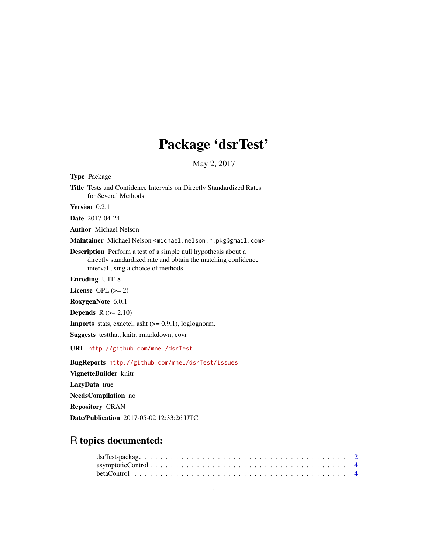## Package 'dsrTest'

May 2, 2017

<span id="page-0-0"></span>Type Package Title Tests and Confidence Intervals on Directly Standardized Rates for Several Methods

Version 0.2.1

Date 2017-04-24

Author Michael Nelson

Maintainer Michael Nelson <michael.nelson.r.pkg@gmail.com>

Description Perform a test of a simple null hypothesis about a directly standardized rate and obtain the matching confidence interval using a choice of methods.

Encoding UTF-8

License GPL  $(>= 2)$ 

RoxygenNote 6.0.1

**Depends**  $R$  ( $>= 2.10$ )

**Imports** stats, exactci, asht  $(>= 0.9.1)$ , loglognorm,

Suggests testthat, knitr, rmarkdown, covr

URL <http://github.com/mnel/dsrTest>

BugReports <http://github.com/mnel/dsrTest/issues> VignetteBuilder knitr LazyData true NeedsCompilation no Repository CRAN Date/Publication 2017-05-02 12:33:26 UTC

### R topics documented: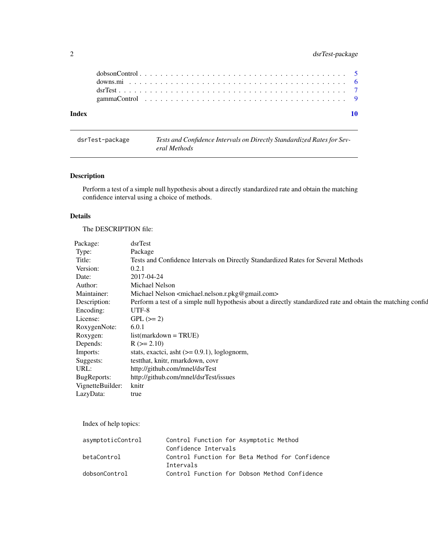#### <span id="page-1-0"></span>2 dsrTest-package

| Index |  |  |  |  |  |  |  |  |  |  |  |  |  |  |  |  |  |
|-------|--|--|--|--|--|--|--|--|--|--|--|--|--|--|--|--|--|
|       |  |  |  |  |  |  |  |  |  |  |  |  |  |  |  |  |  |
|       |  |  |  |  |  |  |  |  |  |  |  |  |  |  |  |  |  |
|       |  |  |  |  |  |  |  |  |  |  |  |  |  |  |  |  |  |
|       |  |  |  |  |  |  |  |  |  |  |  |  |  |  |  |  |  |
|       |  |  |  |  |  |  |  |  |  |  |  |  |  |  |  |  |  |

dsrTest-package *Tests and Confidence Intervals on Directly Standardized Rates for Several Methods*

#### Description

Perform a test of a simple null hypothesis about a directly standardized rate and obtain the matching confidence interval using a choice of methods.

#### Details

The DESCRIPTION file:

| Package:         | dsrTest                                                                                                         |
|------------------|-----------------------------------------------------------------------------------------------------------------|
| Type:            | Package                                                                                                         |
| Title:           | Tests and Confidence Intervals on Directly Standardized Rates for Several Methods                               |
| Version:         | 0.2.1                                                                                                           |
| Date:            | 2017-04-24                                                                                                      |
| Author:          | Michael Nelson                                                                                                  |
| Maintainer:      | Michael Nelson <michael.nelson.r.pkg@gmail.com></michael.nelson.r.pkg@gmail.com>                                |
| Description:     | Perform a test of a simple null hypothesis about a directly standardized rate and obtain the matching confident |
| Encoding:        | UTF-8                                                                                                           |
| License:         | $GPL (=2)$                                                                                                      |
| RoxygenNote:     | 6.0.1                                                                                                           |
| Roxygen:         | $list(maxkdown = TRUE)$                                                                                         |
| Depends:         | $R (= 2.10)$                                                                                                    |
| Imports:         | stats, exactci, asht $(>= 0.9.1)$ , loglognorm,                                                                 |
| Suggests:        | test that, knitr, rmarkdown, covr                                                                               |
| URL:             | http://github.com/mnel/dsrTest                                                                                  |
| BugReports:      | http://github.com/mnel/dsrTest/issues                                                                           |
| VignetteBuilder: | knitr                                                                                                           |
| LazyData:        | true                                                                                                            |
|                  |                                                                                                                 |

Index of help topics:

| asymptoticControl | Control Function for Asymptotic Method          |
|-------------------|-------------------------------------------------|
|                   | Confidence Intervals                            |
| betaControl       | Control Function for Beta Method for Confidence |
|                   | Intervals                                       |
| dobsonControl     | Control Function for Dobson Method Confidence   |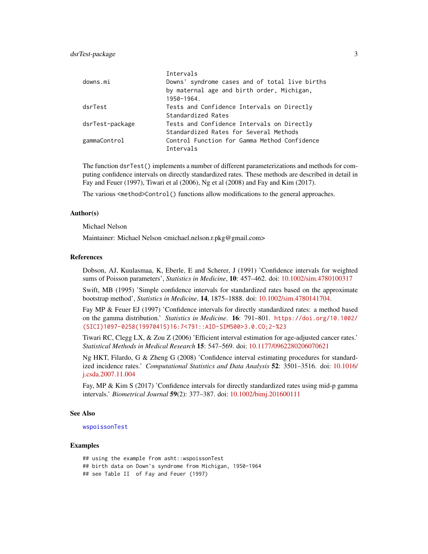<span id="page-2-0"></span>

|                 | Intervals                                      |
|-----------------|------------------------------------------------|
| downs.mi        | Downs' syndrome cases and of total live births |
|                 | by maternal age and birth order, Michigan,     |
|                 | 1950-1964.                                     |
| dsrTest         | Tests and Confidence Intervals on Directly     |
|                 | Standardized Rates                             |
| dsrTest-package | Tests and Confidence Intervals on Directly     |
|                 | Standardized Rates for Several Methods         |
| gammaControl    | Control Function for Gamma Method Confidence   |
|                 | Intervals                                      |

The function dsrTest() implements a number of different parameterizations and methods for computing confidence intervals on directly standardized rates. These methods are described in detail in Fay and Feuer (1997), Tiwari et al (2006), Ng et al (2008) and Fay and Kim (2017).

The various <method>Control() functions allow modifications to the general approaches.

#### Author(s)

Michael Nelson

Maintainer: Michael Nelson <michael.nelson.r.pkg@gmail.com>

#### References

Dobson, AJ, Kuulasmaa, K, Eberle, E and Scherer, J (1991) 'Confidence intervals for weighted sums of Poisson parameters', *Statistics in Medicine*, 10: 457–462. doi: [10.1002/sim.4780100317](http://doi.org/10.1002/sim.4780100317)

Swift, MB (1995) 'Simple confidence intervals for standardized rates based on the approximate bootstrap method', *Statistics in Medicine*, 14, 1875–1888. doi: [10.1002/sim.4780141704.](http://doi.org/10.1002/sim.4780141704)

Fay MP & Feuer EJ (1997) 'Confidence intervals for directly standardized rates: a method based on the gamma distribution.' *Statistics in Medicine*. 16: 791–801. [https://doi.org/10.1002/](https://doi.org/10.1002/(SICI)1097-0258(19970415)16:7<791::AID-SIM500>3.0.CO;2-%23) [\(SICI\)1097-0258\(19970415\)16:7<791::AID-SIM500>3.0.CO;2-%23](https://doi.org/10.1002/(SICI)1097-0258(19970415)16:7<791::AID-SIM500>3.0.CO;2-%23)

Tiwari RC, Clegg LX, & Zou Z (2006) 'Efficient interval estimation for age-adjusted cancer rates.' *Statistical Methods in Medical Research* 15: 547–569. doi: [10.1177/0962280206070621](http://doi.org/10.1177/0962280206070621)

Ng HKT, Filardo, G & Zheng G (2008) 'Confidence interval estimating procedures for standardized incidence rates.' *Computational Statistics and Data Analysis* 52: 3501–3516. doi: [10.1016/](http://doi.org/10.1016/j.csda.2007.11.004) [j.csda.2007.11.004](http://doi.org/10.1016/j.csda.2007.11.004)

Fay, MP & Kim S (2017) 'Confidence intervals for directly standardized rates using mid-p gamma intervals.' *Biometrical Journal* 59(2): 377–387. doi: [10.1002/bimj.201600111](http://doi.org/10.1002/bimj.201600111)

#### See Also

#### [wspoissonTest](#page-0-0)

#### Examples

## using the example from asht::wspoissonTest ## birth data on Down's syndrome from Michigan, 1950-1964 ## see Table II of Fay and Feuer (1997)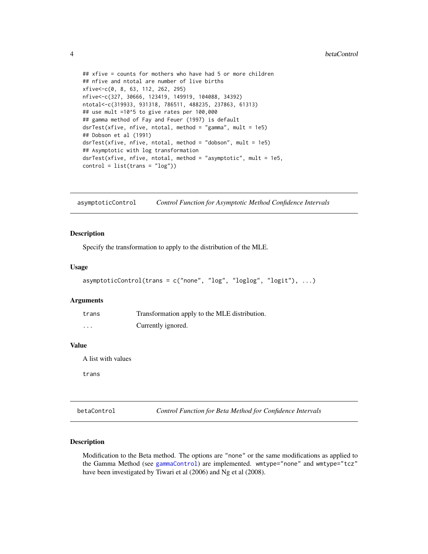```
## xfive = counts for mothers who have had 5 or more children
## nfive and ntotal are number of live births
xfive<-c(0, 8, 63, 112, 262, 295)
nfive<-c(327, 30666, 123419, 149919, 104088, 34392)
ntotal<-c(319933, 931318, 786511, 488235, 237863, 61313)
## use mult =10^5 to give rates per 100,000
## gamma method of Fay and Feuer (1997) is default
dsrTest(xfive, nfive, ntotal, method = "gamma", mult = 1e5)
## Dobson et al (1991)
dsrTest(xfive, nfive, ntotal, method = "dobson", mult = 1e5)
## Asymptotic with log transformation
dsrTest(xfive, nfive, ntotal, method = "asymptotic", mult = 1e5,
control = list(trains = "log")
```
<span id="page-3-1"></span>asymptoticControl *Control Function for Asymptotic Method Confidence Intervals*

#### Description

Specify the transformation to apply to the distribution of the MLE.

#### Usage

```
asymptoticControl(trans = c("none", "log", "loglog", "logit"), ...)
```
#### Arguments

| trans    | Transformation apply to the MLE distribution. |
|----------|-----------------------------------------------|
| $\cdots$ | Currently ignored.                            |

#### Value

A list with values

trans

<span id="page-3-2"></span>betaControl *Control Function for Beta Method for Confidence Intervals*

#### Description

Modification to the Beta method. The options are "none" or the same modifications as applied to the Gamma Method (see [gammaControl](#page-8-1)) are implemented. wmtype="none" and wmtype="tcz" have been investigated by Tiwari et al (2006) and Ng et al (2008).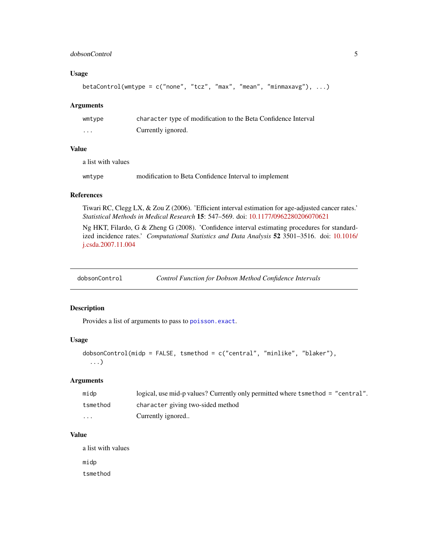#### <span id="page-4-0"></span>dobsonControl 5

#### Usage

```
betaControl(wmtype = c("none", "tcz", "max", "mean", "minmaxavg"), ...)
```
#### Arguments

| wmtype  | character type of modification to the Beta Confidence Interval |
|---------|----------------------------------------------------------------|
| $\cdot$ | Currently ignored.                                             |

#### Value

a list with values

| modification to Beta Confidence Interval to implement<br>wmtype |  |  |  |  |  |  |
|-----------------------------------------------------------------|--|--|--|--|--|--|
|-----------------------------------------------------------------|--|--|--|--|--|--|

#### References

Tiwari RC, Clegg LX, & Zou Z (2006). 'Efficient interval estimation for age-adjusted cancer rates.' *Statistical Methods in Medical Research* 15: 547–569. doi: [10.1177/0962280206070621](http://doi.org/10.1177/0962280206070621)

Ng HKT, Filardo, G & Zheng G (2008). 'Confidence interval estimating procedures for standardized incidence rates.' *Computational Statistics and Data Analysis* 52 3501–3516. doi: [10.1016/](http://doi.org/10.1016/j.csda.2007.11.004) [j.csda.2007.11.004](http://doi.org/10.1016/j.csda.2007.11.004)

<span id="page-4-1"></span>dobsonControl *Control Function for Dobson Method Confidence Intervals*

#### Description

Provides a list of arguments to pass to [poisson.exact](#page-0-0).

#### Usage

```
dobsonControl(midp = FALSE, tsmethod = c("central", "minlike", "blaker"),
  ...)
```
#### Arguments

| midp                    | logical, use mid-p values? Currently only permitted where tsmethod = "central". |
|-------------------------|---------------------------------------------------------------------------------|
| tsmethod                | character giving two-sided method                                               |
| $\cdot$ $\cdot$ $\cdot$ | Currently ignored                                                               |

#### Value

a list with values

midp

tsmethod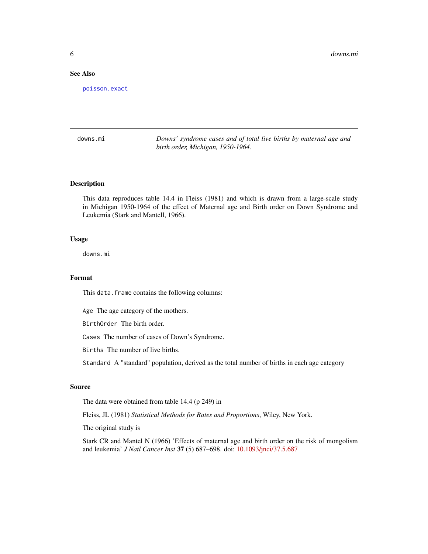#### <span id="page-5-0"></span>See Also

[poisson.exact](#page-0-0)

downs.mi *Downs' syndrome cases and of total live births by maternal age and birth order, Michigan, 1950-1964.*

#### Description

This data reproduces table 14.4 in Fleiss (1981) and which is drawn from a large-scale study in Michigan 1950-1964 of the effect of Maternal age and Birth order on Down Syndrome and Leukemia (Stark and Mantell, 1966).

#### Usage

downs.mi

#### Format

This data. frame contains the following columns:

Age The age category of the mothers.

BirthOrder The birth order.

Cases The number of cases of Down's Syndrome.

Births The number of live births.

Standard A "standard" population, derived as the total number of births in each age category

#### Source

The data were obtained from table 14.4 (p 249) in

Fleiss, JL (1981) *Statistical Methods for Rates and Proportions*, Wiley, New York.

The original study is

Stark CR and Mantel N (1966) 'Effects of maternal age and birth order on the risk of mongolism and leukemia' *J Natl Cancer Inst* 37 (5) 687–698. doi: [10.1093/jnci/37.5.687](http://doi.org/10.1093/jnci/37.5.687)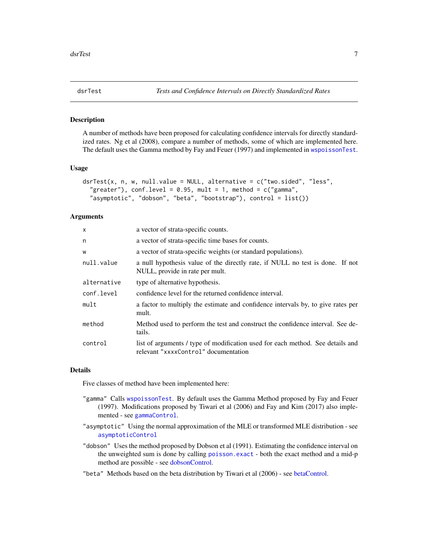<span id="page-6-0"></span>

#### **Description**

A number of methods have been proposed for calculating confidence intervals for directly standardized rates. Ng et al (2008), compare a number of methods, some of which are implemented here. The default uses the Gamma method by Fay and Feuer (1997) and implemented in [wspoissonTest](#page-0-0).

#### Usage

```
dsrTest(x, n, w, null.value = NULL, alternative = c("two.sided", "less",
  "greater"), conf.level = 0.95, mult = 1, method = c("gamma","asymptotic", "dobson", "beta", "bootstrap"), control = list())
```
#### **Arguments**

| $\mathsf{x}$ | a vector of strata-specific counts.                                                                                    |
|--------------|------------------------------------------------------------------------------------------------------------------------|
| n            | a vector of strata-specific time bases for counts.                                                                     |
| W            | a vector of strata-specific weights (or standard populations).                                                         |
| null.value   | a null hypothesis value of the directly rate, if NULL no test is done. If not<br>NULL, provide in rate per mult.       |
| alternative  | type of alternative hypothesis.                                                                                        |
| conf.level   | confidence level for the returned confidence interval.                                                                 |
| mult         | a factor to multiply the estimate and confidence intervals by, to give rates per<br>mult.                              |
| method       | Method used to perform the test and construct the confidence interval. See de-<br>tails.                               |
| control      | list of arguments / type of modification used for each method. See details and<br>relevant "xxxxControl" documentation |

#### Details

Five classes of method have been implemented here:

- "gamma" Calls [wspoissonTest](#page-0-0). By default uses the Gamma Method proposed by Fay and Feuer (1997). Modifications proposed by Tiwari et al (2006) and Fay and Kim (2017) also implemented - see [gammaControl](#page-8-1).
- "asymptotic" Using the normal approximation of the MLE or transformed MLE distribution see [asymptoticControl](#page-3-1)
- "dobson" Uses the method proposed by Dobson et al (1991). Estimating the confidence interval on the unweighted sum is done by calling [poisson.exact](#page-0-0) - both the exact method and a mid-p method are possible - see [dobsonControl.](#page-4-1)
- "beta" Methods based on the beta distribution by Tiwari et al (2006) see [betaControl.](#page-3-2)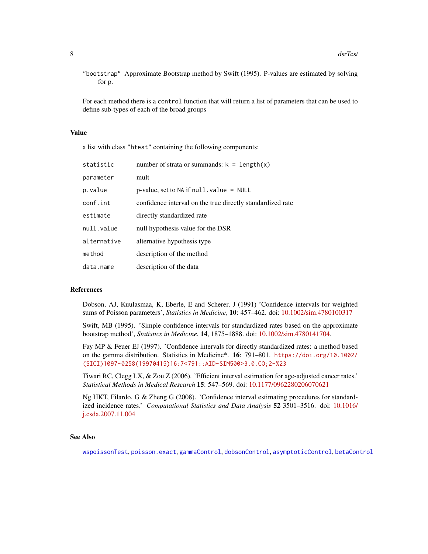<span id="page-7-0"></span>"bootstrap" Approximate Bootstrap method by Swift (1995). P-values are estimated by solving for p.

For each method there is a control function that will return a list of parameters that can be used to define sub-types of each of the broad groups

#### Value

a list with class "htest" containing the following components:

| statistic   | number of strata or summands: $k = length(x)$              |
|-------------|------------------------------------------------------------|
| parameter   | mult                                                       |
| p.value     | p-value, set to $NA$ if $null$ . value = $NULL$            |
| conf.int    | confidence interval on the true directly standardized rate |
| estimate    | directly standardized rate                                 |
| null.value  | null hypothesis value for the DSR                          |
| alternative | alternative hypothesis type                                |
| method      | description of the method                                  |
| data.name   | description of the data                                    |

#### References

Dobson, AJ, Kuulasmaa, K, Eberle, E and Scherer, J (1991) 'Confidence intervals for weighted sums of Poisson parameters', *Statistics in Medicine*, 10: 457–462. doi: [10.1002/sim.4780100317](http://doi.org/10.1002/sim.4780100317)

Swift, MB (1995). 'Simple confidence intervals for standardized rates based on the approximate bootstrap method', *Statistics in Medicine*, 14, 1875–1888. doi: [10.1002/sim.4780141704.](http://doi.org/10.1002/sim.4780141704)

Fay MP & Feuer EJ (1997). 'Confidence intervals for directly standardized rates: a method based on the gamma distribution. Statistics in Medicine\*. 16: 791–801. [https://doi.org/10.1002/](https://doi.org/10.1002/(SICI)1097-0258(19970415)16:7<791::AID-SIM500>3.0.CO;2-%23) [\(SICI\)1097-0258\(19970415\)16:7<791::AID-SIM500>3.0.CO;2-%23](https://doi.org/10.1002/(SICI)1097-0258(19970415)16:7<791::AID-SIM500>3.0.CO;2-%23)

Tiwari RC, Clegg LX, & Zou Z (2006). 'Efficient interval estimation for age-adjusted cancer rates.' *Statistical Methods in Medical Research* 15: 547–569. doi: [10.1177/0962280206070621](http://doi.org/10.1177/0962280206070621)

Ng HKT, Filardo, G & Zheng G (2008). 'Confidence interval estimating procedures for standardized incidence rates.' *Computational Statistics and Data Analysis* 52 3501–3516. doi: [10.1016/](http://doi.org/10.1016/j.csda.2007.11.004) [j.csda.2007.11.004](http://doi.org/10.1016/j.csda.2007.11.004)

#### See Also

[wspoissonTest](#page-0-0), [poisson.exact](#page-0-0), [gammaControl](#page-8-1), [dobsonControl](#page-4-1), [asymptoticControl](#page-3-1), [betaControl](#page-3-2)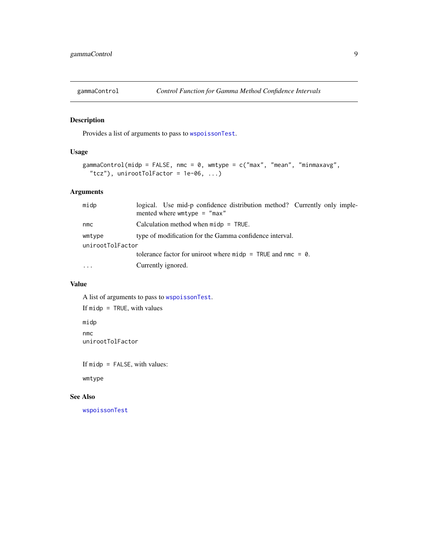<span id="page-8-1"></span><span id="page-8-0"></span>

#### Description

Provides a list of arguments to pass to [wspoissonTest](#page-0-0).

#### Usage

```
gammaControl(midp = FALSE, nmc = 0, wmtype = c("max", "mean", "minmaxavg",
  "tcz"), unirootTolFactor = 1e-06, ...)
```
#### Arguments

| midp             | logical. Use mid-p confidence distribution method? Currently only imple-<br>mented where $w$ mtype = "max" |
|------------------|------------------------------------------------------------------------------------------------------------|
| nmc              | Calculation method when $midp = TRUE$ .                                                                    |
| wmtype           | type of modification for the Gamma confidence interval.                                                    |
| unirootTolFactor |                                                                                                            |
|                  | tolerance factor for uniroot where $midp = \text{TRUE}$ and nmc = 0.                                       |
| .                | Currently ignored.                                                                                         |
|                  |                                                                                                            |

#### Value

A list of arguments to pass to [wspoissonTest](#page-0-0). If midp = TRUE, with values midp nmc unirootTolFactor

If midp = FALSE, with values:

wmtype

#### See Also

[wspoissonTest](#page-0-0)